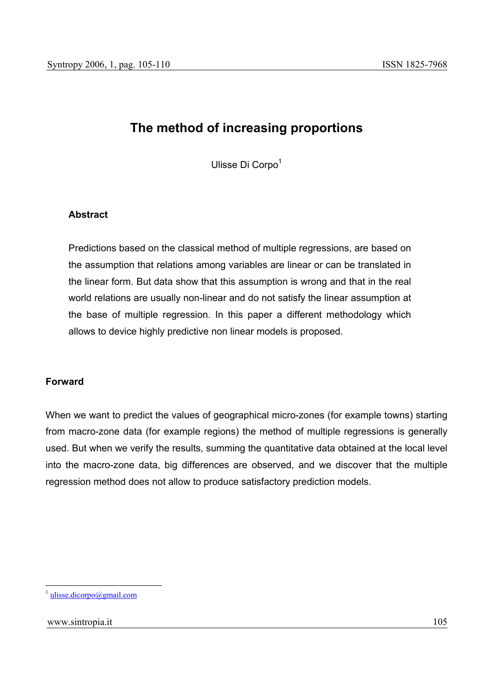# **The method of increasing proportions**

Ulisse Di Corpo<sup>1</sup>

## **Abstract**

Predictions based on the classical method of multiple regressions, are based on the assumption that relations among variables are linear or can be translated in the linear form. But data show that this assumption is wrong and that in the real world relations are usually non-linear and do not satisfy the linear assumption at the base of multiple regression. In this paper a different methodology which allows to device highly predictive non linear models is proposed.

## **Forward**

When we want to predict the values of geographical micro-zones (for example towns) starting from macro-zone data (for example regions) the method of multiple regressions is generally used. But when we verify the results, summing the quantitative data obtained at the local level into the macro-zone data, big differences are observed, and we discover that the multiple regression method does not allow to produce satisfactory prediction models.

<sup>&</sup>lt;sup>1</sup> ulisse.dicorpo@gmail.com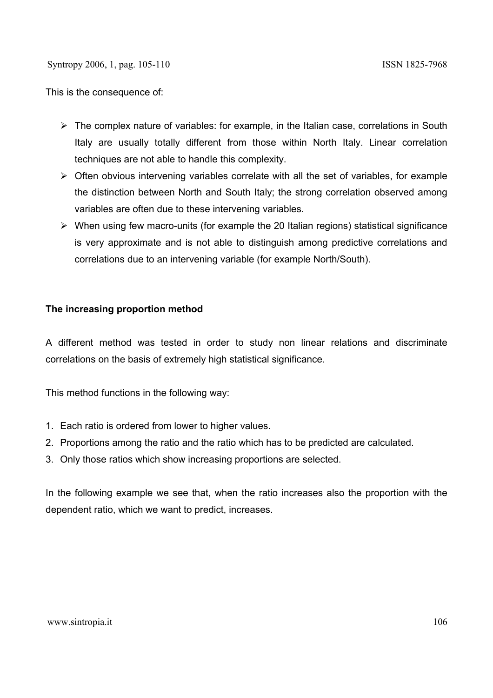This is the consequence of:

- $\triangleright$  The complex nature of variables: for example, in the Italian case, correlations in South Italy are usually totally different from those within North Italy. Linear correlation techniques are not able to handle this complexity.
- $\triangleright$  Often obvious intervening variables correlate with all the set of variables, for example the distinction between North and South Italy; the strong correlation observed among variables are often due to these intervening variables.
- $\triangleright$  When using few macro-units (for example the 20 Italian regions) statistical significance is very approximate and is not able to distinguish among predictive correlations and correlations due to an intervening variable (for example North/South).

## **The increasing proportion method**

A different method was tested in order to study non linear relations and discriminate correlations on the basis of extremely high statistical significance.

This method functions in the following way:

- 1. Each ratio is ordered from lower to higher values.
- 2. Proportions among the ratio and the ratio which has to be predicted are calculated.
- 3. Only those ratios which show increasing proportions are selected.

In the following example we see that, when the ratio increases also the proportion with the dependent ratio, which we want to predict, increases.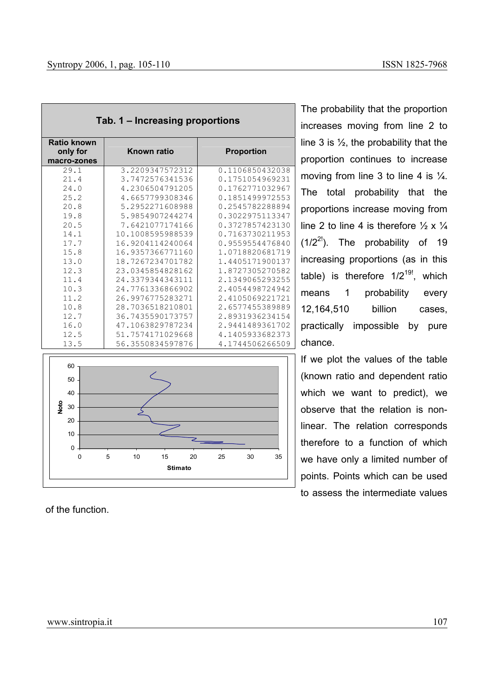| $100.1$ mortaonig proportions |                    |                   |  |  |
|-------------------------------|--------------------|-------------------|--|--|
| <b>Ratio known</b>            |                    |                   |  |  |
| only for                      | <b>Known ratio</b> | <b>Proportion</b> |  |  |
| macro-zones                   |                    |                   |  |  |
| 29.1                          | 3.2209347572312    | 0.1106850432038   |  |  |
| 21.4                          | 3.7472576341536    | 0.1751054969231   |  |  |
| 24.0                          | 4.2306504791205    | 0.1762771032967   |  |  |
| 25.2                          | 4.6657799308346    | 0.1851499972553   |  |  |
| 20.8                          | 5.2952271608988    | 0.2545782288894   |  |  |
| 19.8                          | 5.9854907244274    | 0.3022975113347   |  |  |
| 20.5                          | 7.6421077174166    | 0.3727857423130   |  |  |
| 14.1                          | 10.1008595988539   | 0.7163730211953   |  |  |
| 17.7                          | 16.9204114240064   | 0.9559554476840   |  |  |
| 15.8                          | 16.9357366771160   | 1.0718820681719   |  |  |
| 13.0                          | 18.7267234701782   | 1.4405171900137   |  |  |
| 12.3                          | 23.0345854828162   | 1.8727305270582   |  |  |
| 11.4                          | 24.3379344343111   | 2.1349065293255   |  |  |
| 10.3                          | 24.7761336866902   | 2.4054498724942   |  |  |
| 11.2                          | 26.9976775283271   | 2.4105069221721   |  |  |
| 10.8                          | 28.7036518210801   | 2.6577455389889   |  |  |
| 12.7                          | 36.7435590173757   | 2.8931936234154   |  |  |
| 16.0                          | 47.1063829787234   | 2.9441489361702   |  |  |
| 12.5                          | 51.7574171029668   | 4.1405933682373   |  |  |
| 13.5                          | 56.3550834597876   | 4.1744506266509   |  |  |

**Tab. 1 – Increasing proportions** 



of the function.

The probability that the proportion increases moving from line 2 to line 3 is  $\frac{1}{2}$ , the probability that the proportion continues to increase moving from line 3 to line 4 is  $\frac{1}{4}$ . The total probability that the proportions increase moving from line 2 to line 4 is therefore  $\frac{1}{2} \times \frac{1}{4}$  $(1/2^{2!})$ . The probability of 19 increasing proportions (as in this table) is therefore  $1/2^{19!}$ , which means 1 probability every 12,164,510 billion cases, practically impossible by pure chance.

If we plot the values of the table (known ratio and dependent ratio which we want to predict), we observe that the relation is nonlinear. The relation corresponds therefore to a function of which we have only a limited number of points. Points which can be used to assess the intermediate values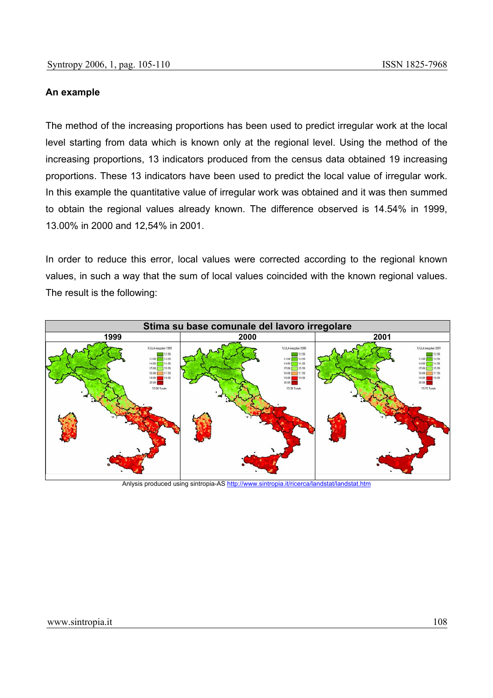#### **An example**

The method of the increasing proportions has been used to predict irregular work at the local level starting from data which is known only at the regional level. Using the method of the increasing proportions, 13 indicators produced from the census data obtained 19 increasing proportions. These 13 indicators have been used to predict the local value of irregular work. In this example the quantitative value of irregular work was obtained and it was then summed to obtain the regional values already known. The difference observed is 14.54% in 1999, 13.00% in 2000 and 12,54% in 2001.

In order to reduce this error, local values were corrected according to the regional known values, in such a way that the sum of local values coincided with the known regional values. The result is the following:



Anlysis produced using sintropia-AS http://www.sintropia.it/ricerca/landstat/landstat.htm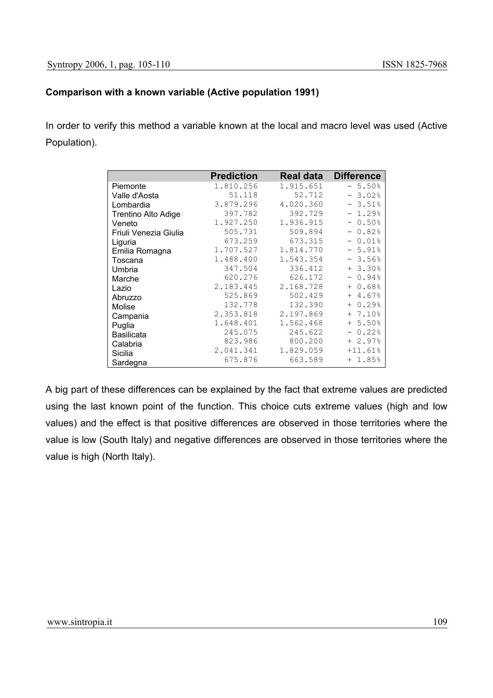## **Comparison with a known variable (Active population 1991)**

In order to verify this method a variable known at the local and macro level was used (Active Population).

|                       | <b>Prediction</b> |           | <b>Real data Difference</b> |
|-----------------------|-------------------|-----------|-----------------------------|
| Piemonte              | 1.810.256         | 1.915.651 | $-5.50%$                    |
| Valle d'Aosta         | 51.118            | 52.712    | $-3.02%$                    |
| Lombardia             | 3.879.296         | 4.020.360 | $-3.51%$                    |
| Trentino Alto Adige   | 397.782           | 392.729   | $-1.29%$                    |
| Veneto                | 1.927.250         | 1.936.915 | $-0.50%$                    |
| Friuli Venezia Giulia | 505.731           | 509.894   | $-0.82%$                    |
| Liguria               | 673.259           | 673.315   | $-0.01%$                    |
| Emilia Romagna        | 1.707.527         | 1.814.770 | $-5.91%$                    |
| Toscana               | 1.488.400         | 1.543.354 | $-3.56%$                    |
| Umbria                | 347.504           | 336.412   | $+3.30%$                    |
| Marche                | 620.276           | 626.172   | $-0.94%$                    |
| Lazio                 | 2.183.445         | 2.168.728 | $+ 0.68%$                   |
| Abruzzo               | 525.869           | 502.429   | $+4.67%$                    |
| Molise                | 132.778           | 132.390   | $+ 0.29%$                   |
| Campania              | 2.353.818         | 2.197.869 | $+ 7.10%$                   |
| Puglia                | 1.648.401         | 1.562.468 | $+ 5.50%$                   |
| <b>Basilicata</b>     | 245.075           | 245.622   | $-0.22%$                    |
| Calabria              | 823.986           | 800.200   | $+2.97%$                    |
| Sicilia               | 2.041.341         | 1.829.059 | $+11.61%$                   |
| Sardegna              | 675.876           | 663.589   | $+ 1.85%$                   |

A big part of these differences can be explained by the fact that extreme values are predicted using the last known point of the function. This choice cuts extreme values (high and low values) and the effect is that positive differences are observed in those territories where the value is low (South Italy) and negative differences are observed in those territories where the value is high (North Italy).